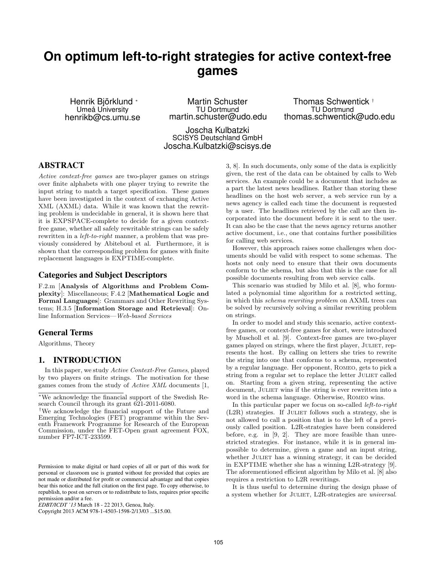# **On optimum left-to-right strategies for active context-free games**

Henrik Björklund <sup>∗</sup> Umeå University henrikb@cs.umu.se

Martin Schuster TU Dortmund martin.schuster@udo.edu

Thomas Schwentick † TU Dortmund thomas.schwentick@udo.edu

Joscha Kulbatzki SCISYS Deutschland GmbH Joscha.Kulbatzki@scisys.de

# ABSTRACT

Active context-free games are two-player games on strings over finite alphabets with one player trying to rewrite the input string to match a target specification. These games have been investigated in the context of exchanging Active XML (AXML) data. While it was known that the rewriting problem is undecidable in general, it is shown here that it is EXPSPACE-complete to decide for a given contextfree game, whether all safely rewritable strings can be safely rewritten in a *left-to-right* manner, a problem that was previously considered by Abiteboul et al. Furthermore, it is shown that the corresponding problem for games with finite replacement languages is EXPTIME-complete.

# Categories and Subject Descriptors

F.2.m [Analysis of Algorithms and Problem Complexity]: Miscellaneous; F.4.2 [Mathematical Logic and Formal Languages]: Grammars and Other Rewriting Systems; H.3.5 [Information Storage and Retrieval]: Online Information Services—Web-based Services

### General Terms

Algorithms, Theory

# 1. INTRODUCTION

In this paper, we study Active Context-Free Games, played by two players on finite strings. The motivation for these games comes from the study of Active XML documents [1,

Copyright 2013 ACM 978-1-4503-1598-2/13/03 ...\$15.00.

3, 8]. In such documents, only some of the data is explicitly given, the rest of the data can be obtained by calls to Web services. An example could be a document that includes as a part the latest news headlines. Rather than storing these headlines on the host web server, a web service run by a news agency is called each time the document is requested by a user. The headlines retrieved by the call are then incorporated into the document before it is sent to the user. It can also be the case that the news agency returns another active document, i.e., one that contains further possibilities for calling web services.

However, this approach raises some challenges when documents should be valid with respect to some schemas. The hosts not only need to ensure that their own documents conform to the schema, but also that this is the case for all possible documents resulting from web service calls.

This scenario was studied by Milo et al. [8], who formulated a polynomial time algorithm for a restricted setting, in which this schema rewriting problem on AXML trees can be solved by recursively solving a similar rewriting problem on strings.

In order to model and study this scenario, active contextfree games, or context-free games for short, were introduced by Muscholl et al. [9]. Context-free games are two-player games played on strings, where the first player, JULIET, represents the host. By calling on letters she tries to rewrite the string into one that conforms to a schema, represented by a regular language. Her opponent, Romeo, gets to pick a string from a regular set to replace the letter JULIET called on. Starting from a given string, representing the active document, JULIET wins if the string is ever rewritten into a word in the schema language. Otherwise, Romeo wins.

In this particular paper we focus on so-called left-to-right  $(L2R)$  strategies. If JULIET follows such a strategy, she is not allowed to call a position that is to the left of a previously called position. L2R-strategies have been considered before, e.g. in [9, 2]. They are more feasible than unrestricted strategies. For instance, while it is in general impossible to determine, given a game and an input string, whether JULIET has a winning strategy, it can be decided in EXPTIME whether she has a winning L2R-strategy [9]. The aforementioned efficient algorithm by Milo et al. [8] also requires a restriction to L2R rewritings.

It is thus useful to determine during the design phase of a system whether for JULIET, L2R-strategies are universal.

<sup>∗</sup>We acknowledge the financial support of the Swedish Research Council through its grant 621-2011-6080.

<sup>†</sup>We acknowledge the financial support of the Future and Emerging Technologies (FET) programme within the Seventh Framework Programme for Research of the European Commission, under the FET-Open grant agreement FOX, number FP7-ICT-233599.

Permission to make digital or hard copies of all or part of this work for personal or classroom use is granted without fee provided that copies are not made or distributed for profit or commercial advantage and that copies bear this notice and the full citation on the first page. To copy otherwise, to republish, to post on servers or to redistribute to lists, requires prior specific permission and/or a fee.

*EDBT/ICDT '13* March 18 - 22 2013, Genoa, Italy.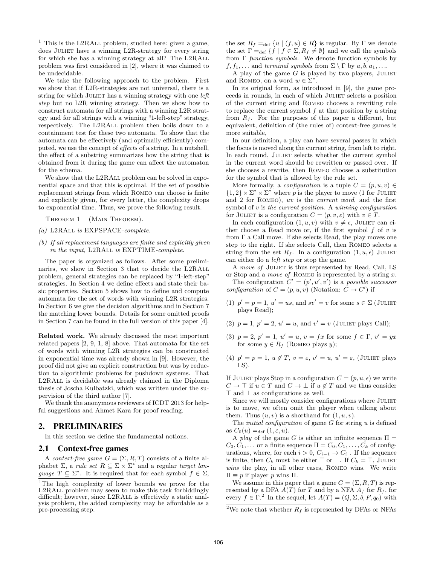<sup>1</sup> This is the L2RALL problem, studied here: given a game, does JULIET have a winning L2R-strategy for every string for which she has a winning strategy at all? The L2RAll problem was first considered in [2], where it was claimed to be undecidable.

We take the following approach to the problem. First we show that if L2R-strategies are not universal, there is a string for which JULIET has a winning strategy with one *left* step but no L2R winning strategy. Then we show how to construct automata for all strings with a winning L2R strategy and for all strings with a winning "1-left-step" strategy, respectively. The L2RAll problem then boils down to a containment test for these two automata. To show that the automata can be effectively (and optimally efficiently) computed, we use the concept of effects of a string. In a nutshell, the effect of a substring summarizes how the string that is obtained from it during the game can affect the automaton for the schema.

We show that the L2RALL problem can be solved in exponential space and that this is optimal. If the set of possible replacement strings from which Romeo can choose is finite and explicitly given, for every letter, the complexity drops to exponential time. Thus, we prove the following result.

THEOREM 1 (MAIN THEOREM).

- (a) L2RAll is EXPSPACE-complete.
- (b) If all replacement languages are finite and explicitly given in the input, L2RAll is EXPTIME-complete.

The paper is organized as follows. After some preliminaries, we show in Section 3 that to decide the L2RALL problem, general strategies can be replaced by "1-left-step" strategies. In Section 4 we define effects and state their basic properties. Section 5 shows how to define and compute automata for the set of words with winning L2R strategies. In Section 6 we give the decision algorithms and in Section 7 the matching lower bounds. Details for some omitted proofs in Section 7 can be found in the full version of this paper [4].

Related work. We already discussed the most important related papers [2, 9, 1, 8] above. That automata for the set of words with winning L2R strategies can be constructed in exponential time was already shown in [9]. However, the proof did not give an explicit construction but was by reduction to algorithmic problems for pushdown systems. That L2RAll is decidable was already claimed in the Diploma thesis of Joscha Kulbatzki, which was written under the supervision of the third author [7].

We thank the anonymous reviewers of ICDT 2013 for helpful suggestions and Ahmet Kara for proof reading.

#### 2. PRELIMINARIES

In this section we define the fundamental notions.

#### 2.1 Context-free games

A *context-free game*  $G = (\Sigma, R, T)$  consists of a finite alphabet  $\Sigma$ , a rule set  $R \subseteq \Sigma \times \Sigma^*$  and a regular target lanquage  $T \subseteq \Sigma^*$ . It is required that for each symbol  $f \in \Sigma$ ,

the set  $R_f =_{\text{def}} \{u \mid (f, u) \in R\}$  is regular. By  $\Gamma$  we denote the set  $\Gamma =_{def} \{f \mid f \in \Sigma, R_f \neq \emptyset\}$  and we call the symbols from  $\Gamma$  function symbols. We denote function symbols by  $f, f_1, \ldots$  and terminal symbols from  $\Sigma \setminus \Gamma$  by  $a, b, a_1, \ldots$ .

A play of the game  $G$  is played by two players, JULIET and ROMEO, on a word  $w \in \Sigma^*$ .

In its original form, as introduced in [9], the game proceeds in rounds, in each of which JULIET selects a position of the current string and Romeo chooses a rewriting rule to replace the current symbol  $f$  at that position by a string from  $R_f$ . For the purposes of this paper a different, but equivalent, definition of (the rules of) context-free games is more suitable,

In our definition, a play can have several passes in which the focus is moved along the current string, from left to right. In each round, JULIET selects whether the current symbol in the current word should be rewritten or passed over. If she chooses a rewrite, then Romeo chooses a substitution for the symbol that is allowed by the rule set.

More formally, a *configuration* is a tuple  $C = (p, u, v) \in$  $\{1,2\} \times \Sigma^* \times \Sigma^*$  where p is the player to move (1 for JULIET) and 2 for Romeo), uv is the current word, and the first symbol of  $v$  is the current position. A winning configuration for JULIET is a configuration  $C = (p, v, \varepsilon)$  with  $v \in T$ .

In each configuration  $(1, u, v)$  with  $v \neq \epsilon$ , JULIET can either choose a Read move or, if the first symbol  $f$  of  $v$  is from Γ a Call move. If she selects Read, the play moves one step to the right. If she selects Call, then Romeo selects a string from the set  $R_f$ . In a configuration  $(1, u, \epsilon)$  JULIET can either do a left step or stop the game.

A move of JULIET is thus represented by Read, Call, LS or Stop and a move of Romeo is represented by a string x.

The configuration  $C' = (p', u', v')$  is a possible successor configuration of  $C = (p, u, v)$  (Notation:  $C \rightarrow C'$ ) if

- (1)  $p' = p = 1$ ,  $u' = us$ , and  $sv' = v$  for some  $s \in \Sigma$  (JULIET) plays Read);
- (2)  $p = 1, p' = 2, u' = u$ , and  $v' = v$  (JULIET plays Call);
- (3)  $p = 2, p' = 1, u' = u, v = fx$  for some  $f \in \Gamma$ ,  $v' = yx$ for some  $y \in R_f$  (ROMEO plays y);
- (4)  $p' = p = 1, u \notin T, v = \varepsilon, v' = u, u' = \varepsilon$ , (JULIET plays LS).

If JULIET plays Stop in a configuration  $C = (p, u, \epsilon)$  we write  $C \to \top$  if  $u \in T$  and  $C \to \bot$  if  $u \notin T$  and we thus consider  $\top$  and  $\bot$  as configurations as well.

Since we will mostly consider configurations where JULIET is to move, we often omit the player when talking about them. Thus  $(u, v)$  is a shorthand for  $(1, u, v)$ .

The *initial configuration* of game  $G$  for string  $u$  is defined as  $C_0(u) =_{def} (1, \varepsilon, u)$ .

A play of the game G is either an infinite sequence  $\Pi =$  $C_0, C_1, \ldots$  or a finite sequence  $\Pi = C_0, C_1, \ldots, C_k$  of configurations, where, for each  $i > 0$ ,  $C_{i-1} \rightarrow C_i$ . If the sequence is finite, then  $C_k$  must be either  $\top$  or  $\bot$ . If  $C_k = \top$ , JULIET wins the play, in all other cases, ROMEO wins. We write  $\Pi \equiv p$  if player p wins Π.

We assume in this paper that a game  $G = (\Sigma, R, T)$  is represented by a DFA  $A(T)$  for T and by a NFA  $A_f$  for  $R_f$ , for every  $f \in \Gamma$ .<sup>2</sup> In the sequel, let  $A(T) = (Q, \Sigma, \delta, F, q_0)$  with

<sup>1</sup>The high complexity of lower bounds we prove for the L2RAll problem may seem to make this task forbiddingly difficult; however, since L2RALL is effectively a static analysis problem, the added complexity may be affordable as a pre-processing step.

<sup>&</sup>lt;sup>2</sup>We note that whether  $R_f$  is represented by DFAs or NFAs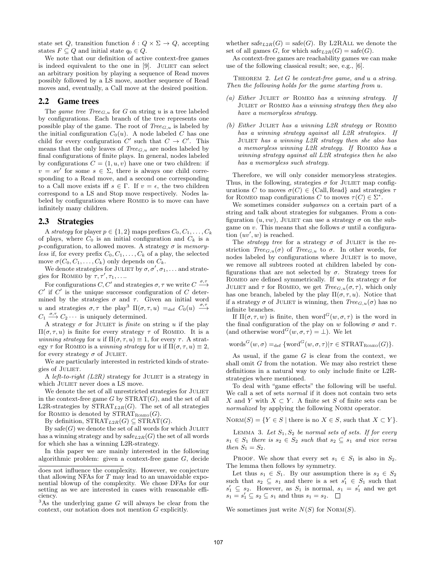state set Q, transition function  $\delta: Q \times \Sigma \to Q$ , accepting states  $F \subseteq Q$  and initial state  $q_0 \in Q$ .

We note that our definition of active context-free games is indeed equivalent to the one in  $[9]$ . JULIET can select an arbitrary position by playing a sequence of Read moves possibly followed by a LS move, another sequence of Read moves and, eventually, a Call move at the desired position.

#### 2.2 Game trees

The game tree  $Tree_{G,u}$  for G on string u is a tree labeled by configurations. Each branch of the tree represents one possible play of the game. The root of  $Tree_{G,u}$  is labeled by the initial configuration  $C_0(u)$ . A node labeled C has one child for every configuration  $C'$  such that  $C \to C'$ . This means that the only leaves of  $Tree_{G,u}$  are nodes labeled by final configurations of finite plays. In general, nodes labeled by configurations  $C = (1, u, v)$  have one or two children: if  $v = sv'$  for some  $s \in \Sigma$ , there is always one child corresponding to a Read move, and a second one corresponding to a Call move exists iff  $s \in \Gamma$ . If  $v = \epsilon$ , the two children correspond to a LS and Stop move respectively. Nodes labeled by configurations where Romeo is to move can have infinitely many children.

#### 2.3 Strategies

A strategy for player  $p \in \{1, 2\}$  maps prefixes  $C_0, C_1, \ldots, C_k$ of plays, where  $C_0$  is an initial configuration and  $C_k$  is a p-configuration, to allowed moves. A strategy  $\sigma$  is memoryless if, for every prefix  $C_0, C_1, \ldots, C_k$  of a play, the selected move  $\sigma(C_0, C_1, \ldots, C_k)$  only depends on  $C_k$ .

We denote strategies for JULIET by  $\sigma, \sigma', \sigma_1, \ldots$  and strategies for ROMEO by  $\tau$ ,  $\tau'$ ,  $\tau_1$ , ...

For configurations  $C, C'$  and strategies  $\sigma, \tau$  we write  $C \stackrel{\sigma, \tau}{\longrightarrow}$  $C'$  if  $C'$  is the unique successor configuration of  $C$  determined by the strategies  $\sigma$  and  $\tau$ . Given an initial word u and strategies  $\sigma, \tau$  the play<sup>3</sup>  $\Pi(\sigma, \tau, u) =_{def} C_0(u) \stackrel{\sigma, \tau}{\longrightarrow}$  $C_1 \stackrel{\sigma,\tau}{\longrightarrow} C_2 \cdots$  is uniquely determined.

A strategy  $\sigma$  for JULIET is *finite* on string u if the play  $\Pi(σ, τ, u)$  is finite for every strategy  $τ$  of ROMEO. It is a winning strategy for u if  $\Pi(\sigma, \tau, u) \equiv 1$ , for every  $\tau$ . A strategy  $\tau$  for ROMEO is a winning strategy for u if  $\Pi(\sigma, \tau, u) \equiv 2$ , for every strategy  $\sigma$  of JULIET.

We are particularly interested in restricted kinds of strategies of JULIET.

A left-to-right  $(L2R)$  strategy for JULIET is a strategy in which JULIET never does a LS move.

We denote the set of all unrestricted strategies for JULIET in the context-free game  $G$  by  $\text{STRAT}(G)$ , and the set of all L2R-strategies by  $\text{STRAT}_{L2R}(G)$ . The set of all strategies for ROMEO is denoted by  $\text{STRAT}_{\text{ROMEO}}(G)$ .

By definition,  $\text{STRAT}_{L2R}(G) \subseteq \text{STRAT}(G)$ .

By safe $(G)$  we denote the set of all words for which JULIET has a winning strategy and by  $\text{safe}_{L2R}(G)$  the set of all words for which she has a winning L2R-strategy.

In this paper we are mainly interested in the following algorithmic problem: given a context-free game G, decide whether  $\text{safe}_{L2R}(G) = \text{safe}(G)$ . By L2RALL we denote the set of all games G, for which  $\text{safe}_{L2R}(G) = \text{safe}(G)$ .

As context-free games are reachability games we can make use of the following classical result; see, e.g., [6].

THEOREM 2. Let G be context-free game, and u a string. Then the following holds for the game starting from u.

- (a) Either JULIET or ROMEO has a winning strategy. If JULIET or ROMEO has a winning strategy then they also have a memoryless strategy.
- (b) Either JULIET has a winning  $L2R$  strategy or ROMEO has a winning strategy against all L2R strategies. If JULIET has a winning L2R strategy then she also has a memoryless winning L2R strategy. If Romeo has a winning strategy against all L2R strategies then he also has a memoryless such strategy.

Therefore, we will only consider memoryless strategies. Thus, in the following, strategies  $\sigma$  for JULIET map configurations C to moves  $\sigma(C) \in \{Call, Read\}$  and strategies  $\tau$ for ROMEO map configurations C to moves  $\tau(C) \in \Sigma^*$ .

We sometimes consider subgames on a certain part of a string and talk about strategies for subgames. From a configuration  $(u, vw)$ , JULIET can use a strategy  $\sigma$  on the subgame on v. This means that she follows  $\sigma$  until a configuration  $(uv', w)$  is reached.

The *strategy tree* for a strategy  $\sigma$  of JULIET is the restriction  $Tree_{G,u}(\sigma)$  of  $Tree_{G,u}$  to  $\sigma$ . In other words, for nodes labeled by configurations where JULIET is to move, we remove all subtrees rooted at children labeled by configurations that are not selected by  $\sigma$ . Strategy trees for ROMEO are defined symmetrically. If we fix strategy  $\sigma$  for JULIET and  $\tau$  for ROMEO, we get  $Tree_{G,u}(\sigma, \tau)$ , which only has one branch, labeled by the play  $\Pi(\sigma, \tau, u)$ . Notice that if a strategy  $\sigma$  of JULIET is winning, then  $Tree_{G,u}(\sigma)$  has no infinite branches.

If  $\Pi(\sigma, \tau, w)$  is finite, then word  $G(w, \sigma, \tau)$  is the word in the final configuration of the play on w following  $\sigma$  and  $\tau$ . (and otherwise word<sup> $G(w, \sigma, \tau) = \bot$ ). We let</sup>

$$
\mathrm{words}^G(w,\sigma) =_{\mathrm{def}} \{\mathrm{word}^G(w,\sigma,\tau) | \tau \in \mathrm{STRAT}_{\mathrm{ROMEO}}(G)\}.
$$

As usual, if the game  $G$  is clear from the context, we shall omit G from the notation. We may also restrict these definitions in a natural way to only include finite or L2Rstrategies where mentioned.

To deal with "game effects" the following will be useful. We call a set of sets normal if it does not contain two sets X and Y with  $X \subset Y$ . A finite set S of finite sets can be normalized by applying the following NORM operator.

 $NORM(S) = \{Y \in S \mid \text{there is no } X \in S, \text{ such that } X \subset Y\}.$ 

LEMMA 3. Let  $S_1, S_2$  be normal sets of sets. If for every  $s_1 \in S_1$  there is  $s_2 \in S_2$  such that  $s_2 \subseteq s_1$  and vice versa then  $S_1 = S_2$ .

PROOF. We show that every set  $s_1 \in S_1$  is also in  $S_2$ . The lemma then follows by symmetry.

Let thus  $s_1 \in S_1$ . By our assumption there is  $s_2 \in S_2$ such that  $s_2 \subseteq s_1$  and there is a set  $s'_1 \in S_1$  such that  $s'_1 \subseteq s_2$ . However, as  $S_1$  is normal,  $s_1 = s'_1$  and we get  $s_1 = s'_1 \subseteq s_2 \subseteq s_1$  and thus  $s_1 = s_2$ .

We sometimes just write  $N(S)$  for NORM $(S)$ .

does not influence the complexity. However, we conjecture that allowing NFAs for T may lead to an unavoidable exponential blowup of the complexity. We chose DFAs for our setting as we are interested in cases with reasonable efficiency.

 $3$ As the underlying game G will always be clear from the context, our notation does not mention G explicitly.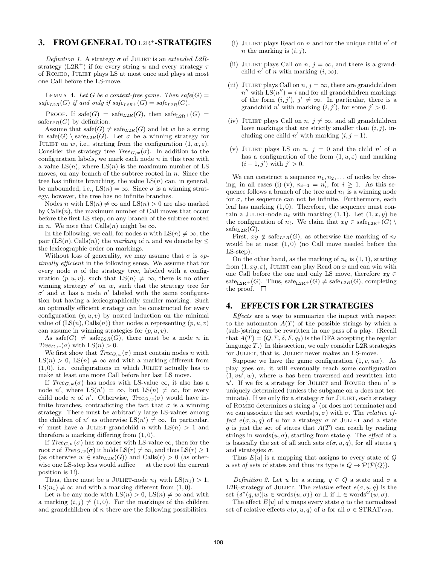# 3. FROM GENERAL TO L2R<sup>+</sup>-STRATEGIES

Definition 1. A strategy  $\sigma$  of JULIET is an extended L2Rstrategy (L2R<sup>+</sup>) if for every string u and every strategy  $\tau$ of Romeo, Juliet plays LS at most once and plays at most one Call before the LS-move.

LEMMA 4. Let G be a context-free game. Then  $safe(G) =$  $safe_{L2R}(G)$  if and only if  $safe_{L2R}+(G) = safe_{L2R}(G)$ .

PROOF. If safe(G) = safe $_{L2R}(G)$ , then safe $_{L2R+}(G)$  = safe $_{L2R}(G)$  by definition.

Assume that safe(G)  $\neq$  safe $_{L2R}(G)$  and let w be a string in safe(G)  $\setminus$  safe<sub>L2R</sub>(G). Let  $\sigma$  be a winning strategy for JULIET on w, i.e., starting from the configuration  $(1, w, \varepsilon)$ . Consider the strategy tree  $Tree_{G,w}(\sigma)$ . In addition to the configuration labels, we mark each node  $n$  in this tree with a value  $LS(n)$ , where  $LS(n)$  is the maximum number of LS moves, on any branch of the subtree rooted in  $n$ . Since the tree has infinite branching, the value  $LS(n)$  can, in general, be unbounded, i.e.,  $LS(n) = \infty$ . Since  $\sigma$  is a winning strategy, however, the tree has no infinite branches.

Nodes *n* with  $LS(n) \neq \infty$  and  $LS(n) > 0$  are also marked by  $\text{Calls}(n)$ , the maximum number of Call moves that occur before the first LS step, on any branch of the subtree rooted in *n*. We note that Calls $(n)$  might be  $\infty$ .

In the following, we call, for nodes n with  $LS(n) \neq \infty$ , the pair  $(LS(n), Calls(n))$  the marking of n and we denote by  $\leq$ the lexicographic order on markings.

Without loss of generality, we may assume that  $\sigma$  is optimally efficient in the following sense. We assume that for every node  $n$  of the strategy tree, labeled with a configuration  $(p, u, v)$ , such that  $LS(n) \neq \infty$ , there is no other winning strategy  $\sigma'$  on w, such that the strategy tree for  $\sigma'$  and w has a node  $n'$  labeled with the same configuration but having a lexicographically smaller marking. Such an optimally efficient strategy can be constructed for every configuration  $(p, u, v)$  by nested induction on the minimal value of  $(LS(n), Cals(n))$  that nodes n representing  $(p, u, v)$ can assume in winning strategies for  $(p, u, v)$ .

As safe(G)  $\neq$  safe<sub>L2R</sub>(G), there must be a node n in  $Tree_{G,w}(\sigma)$  with  $LS(n) > 0$ .

We first show that  $Tree_{G,w}(\sigma)$  must contain nodes n with  $LS(n) > 0$ ,  $LS(n) \neq \infty$  and with a marking different from  $(1, 0)$ , i.e. configurations in which JULIET actually has to make at least one more Call before her last LS move.

If  $Tree_{G,w}(\sigma)$  has nodes with LS-value  $\infty$ , it also has a node n', where  $LS(n') = \infty$ , but  $LS(n) \neq \infty$ , for every child node *n* of *n'*. Otherwise,  $Tree_{G,w}(\sigma)$  would have infinite branches, contradicting the fact that  $\sigma$  is a winning strategy. There must be arbitrarily large LS-values among the children of n' as otherwise  $LS(n') \neq \infty$ . In particular,  $n'$  must have a JULIET-grandchild n with  $LS(n) > 1$  and therefore a marking differing from (1, 0).

If  $Tree_{G,w}(\sigma)$  has no nodes with LS-value  $\infty$ , then for the root r of  $Tree_{G,w}(\sigma)$  it holds  $LS(r) \neq \infty$ , and thus  $LS(r) \geq 1$ (as otherwise  $w \in \text{safe}_{L2R}(G)$ ) and  $\text{Calls}(r) > 0$  (as otherwise one LS-step less would suffice — at the root the current position is 1!).

Thus, there must be a JULIET-node  $n_1$  with  $LS(n_1) > 1$ ,  $LS(n_1) \neq \infty$  and with a marking different from  $(1, 0)$ .

Let *n* be any node with  $LS(n) > 0$ ,  $LS(n) \neq \infty$  and with a marking  $(i, j) \neq (1, 0)$ . For the markings of the children and grandchildren of  $n$  there are the following possibilities.

- (i) JULIET plays Read on  $n$  and for the unique child  $n'$  of *n* the marking is  $(i, j)$ .
- (ii) JULIET plays Call on n,  $j = \infty$ , and there is a grandchild n' of n with marking  $(i, \infty)$ .
- (iii) JULIET plays Call on n,  $j = \infty$ , there are grandchildren  $n''$  with  $LS(n'') = i$  and for all grandchildren markings of the form  $(i, j')$ ,  $j' \neq \infty$ . In particular, there is a grandchild n' with marking  $(i, j')$ , for some  $j' > 0$ .
- (iv) JULIET plays Call on  $n, j \neq \infty$ , and all grandchildren have markings that are strictly smaller than  $(i, j)$ , including one child  $n'$  with marking  $(i, j - 1)$ .
- (v) JULIET plays LS on  $n, j = 0$  and the child n' of n has a configuration of the form  $(1, u, \varepsilon)$  and marking  $(i - 1, j')$  with  $j' > 0$ .

We can construct a sequence  $n_1, n_2, \ldots$  of nodes by chosing, in all cases (i)-(v),  $n_{i+1} = n'_i$ , for  $i \geq 1$ . As this sequence follows a branch of the tree and  $n_1$  is a winning node for  $\sigma$ , the sequence can not be infinite. Furthermore, each leaf has marking  $(1, 0)$ . Therefore, the sequence must contain a JULIET-node  $n_\ell$  with marking  $(1, 1)$ . Let  $(1, x, y)$  be the configuration of  $n_\ell$ . We claim that  $xy \in \text{safe}_{\text{L2R}} + (G) \setminus$  $\text{safe}_{L2R}(G)$ .

First,  $xy \notin \text{safe}_{L2R}(G)$ , as otherwise the marking of  $n_\ell$ would be at most  $(1,0)$  (no Call move needed before the LS-step).

On the other hand, as the marking of  $n_\ell$  is  $(1, 1)$ , starting from  $(1, xy, \varepsilon)$ , JULIET can play Read on x and can win with one Call before the one and only LS move, therefore  $xy \in$  $\text{safe}_{\text{L2R}+}(G)$ . Thus,  $\text{safe}_{\text{L2R}+}(G) \neq \text{safe}_{\text{L2R}}(G)$ , completing the proof.  $\square$ 

# 4. EFFECTS FOR L2R STRATEGIES

Effects are a way to summarize the impact with respect to the automaton  $A(T)$  of the possible strings by which a (sub-)string can be rewritten in one pass of a play. (Recall that  $A(T) = (Q, \Sigma, \delta, F, q_0)$  is the DFA accepting the regular language  $T$ .) In this section, we only consider L2R strategies for JULIET, that is, JULIET never makes an LS-move.

Suppose we have the game configuration  $(1, v, uw)$ . As play goes on, it will eventually reach some configuration  $(1, vu', w)$ , where u has been traversed and rewritten into  $u'$ . If we fix a strategy for JULIET and ROMEO then  $u'$  is uniquely determined (unless the subgame on  $u$  does not terminate). If we only fix a strategy  $\sigma$  for JULIET, each strategy of ROMEO determines a string  $u'$  (or does not terminate) and we can associate the set words $(u, \sigma)$  with  $\sigma$ . The *relative ef*fect  $e(\sigma, u, q)$  of u for a strategy  $\sigma$  of JULIET and a state q is just the set of states that  $A(T)$  can reach by reading strings in words $(u, \sigma)$ , starting from state q. The *effect* of u is basically the set of all such sets  $e(\sigma, u, q)$ , for all states q and strategies  $\sigma$ .

Thus  $E[u]$  is a mapping that assigns to every state of Q a set of sets of states and thus its type is  $Q \to \mathcal{P}(\mathcal{P}(Q))$ .

Definition 2. Let u be a string,  $q \in Q$  a state and  $\sigma$  a L2R-strategy of JULIET. The *relative* effect  $e(\sigma, u, q)$  is the set  $\{\delta^*(q, w)|w \in \text{words}(u, \sigma)\}\$  or  $\perp$  if  $\perp \in \text{words}^G(w, \sigma)$ .

The effect  $E[u]$  of u maps every state q to the normalized set of relative effects  $e(\sigma, u, q)$  of u for all  $\sigma \in \text{STRAT}_{L2R}$ .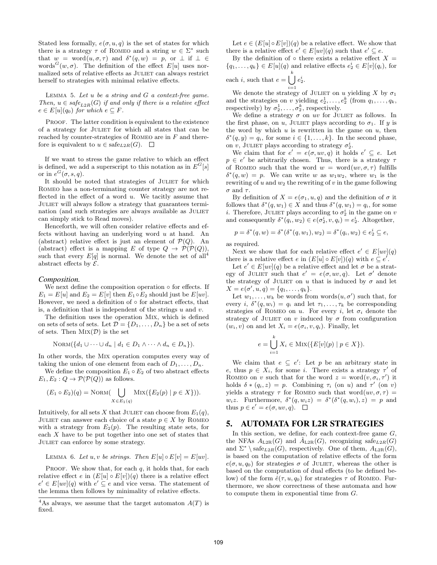Stated less formally,  $e(\sigma, u, q)$  is the set of states for which there is a strategy  $\tau$  of ROMEO and a string  $w \in \Sigma^*$  such that  $w = word(u, \sigma, \tau)$  and  $\delta^*(q, w) = p$ , or  $\bot$  if  $\bot \in$ words<sup> $G(w, \sigma)$ </sup>. The definition of the effect  $E[u]$  uses normalized sets of relative effects as JULIET can always restrict herself to strategies with minimal relative effects.

LEMMA 5. Let  $u$  be a string and  $G$  a context-free game. Then,  $u \in \text{safe}_{L2R}(G)$  if and only if there is a relative effect  $e \in E[u](q_0)$  for which  $e \subseteq F$ .

PROOF. The latter condition is equivalent to the existence of a strategy for Juliet for which all states that can be reached by counter-strategies of ROMEO are in  $F$  and therefore is equivalent to  $u \in \text{safe}_{L2R}(G)$ .  $\Box$ 

If we want to stress the game relative to which an effect is defined, we add a superscript to this notation as in  $E^G[s]$ or in  $e^G(\sigma, s, q)$ .

It should be noted that strategies of JULIET for which Romeo has a non-terminating counter strategy are not reflected in the effect of a word  $u$ . We tacitly assume that JULIET will always follow a strategy that guarantees termination (and such strategies are always available as JULIET can simply stick to Read moves).

Henceforth, we will often consider relative effects and effects without having an underlying word u at hand. An (abstract) relative effect is just an element of  $\mathcal{P}(Q)$ . An (abstract) effect is a mapping E of type  $Q \to \mathcal{P}(\mathcal{P}(Q)),$ such that every  $E[q]$  is normal. We denote the set of all<sup>4</sup> abstract effects by  $\mathcal{E}.$ 

#### *Composition.*

We next define the composition operation  $\circ$  for effects. If  $E_1 = E[u]$  and  $E_2 = E[v]$  then  $E_1 \circ E_2$  should just be  $E[wv]$ . However, we need a definition of ◦ for abstract effects, that is, a definition that is independent of the strings  $u$  and  $v$ .

The definition uses the operation Mix, which is defined on sets of sets of sets. Let  $\mathcal{D} = \{D_1, \ldots, D_n\}$  be a set of sets of sets. Then  $MIX(\mathcal{D})$  is the set

$$
NORM(\lbrace d_1 \cup \cdots \cup d_n \mid d_1 \in D_1 \wedge \cdots \wedge d_n \in D_n \rbrace).
$$

In other words, the Mix operation computes every way of taking the union of one element from each of  $D_1, \ldots, D_n$ .

We define the composition  $E_1 \circ E_2$  of two abstract effects  $E_1, E_2: Q \to \mathcal{P}(\mathcal{P}(Q))$  as follows.

$$
(E_1 \circ E_2)(q) = \text{Norm}(\bigcup_{X \in E_1(q)} \text{Mix}(\{E_2(p) \mid p \in X\})).
$$

Intuitively, for all sets X that JULIET can choose from  $E_1(q)$ , JULIET can answer each choice of a state  $p \in X$  by ROMEO with a strategy from  $E_2(p)$ . The resulting state sets, for each  $X$  have to be put together into one set of states that JULIET can enforce by some strategy.

LEMMA 6. Let  $u, v$  be strings. Then  $E[u] \circ E[v] = E[wv]$ .

PROOF. We show that, for each  $q$ , it holds that, for each relative effect e in  $(E[u] \circ E[v])(q)$  there is a relative effect  $e' \in E[uv](q)$  with  $e' \subseteq e$  and vice versa. The statement of the lemma then follows by minimality of relative effects.

Let  $e \in (E[u] \circ E[v])(q)$  be a relative effect. We show that there is a relative effect  $e' \in E[wv](q)$  such that  $e' \subseteq e$ .

By the definition of  $\circ$  there exists a relative effect  $X =$  $\{q_1, \ldots, q_k\} \in E[u](q)$  and relative effects  $e_2^i \in E[v](q_i)$ , for

each *i*, such that 
$$
e = \bigcup_{i=1}^{k} e_2^i
$$
.

We denote the strategy of JULIET on u yielding X by  $\sigma_1$ and the strategies on v yielding  $e_2^1, \ldots, e_2^k$  (from  $q_1, \ldots, q_k$ , respectively) by  $\sigma_2^1, \ldots, \sigma_2^k$ , respectively.

We define a strategy  $\sigma$  on uv for JULIET as follows. In the first phase, on  $u$ , JULIET plays according to  $\sigma_1$ . If  $y$  is the word by which  $u$  is rewritten in the game on  $u$ , then  $\delta^*(q, y) = q_i$ , for some  $i \in \{1, ..., k\}$ . In the second phase, on v, JULIET plays according to strategy  $\sigma_2^i$ .

We claim that for  $e' = e(\sigma, uv, q)$  it holds  $e' \subseteq e$ . Let  $p \in e'$  be arbitrarily chosen. Thus, there is a strategy  $\tau$ of ROMEO such that the word  $w = \text{word}(uv, \sigma, \tau)$  fulfills  $\delta^*(q, w) = p$ . We can write w as  $w_1w_2$ , where  $w_1$  is the rewriting of u and  $w_2$  the rewriting of v in the game following  $\sigma$  and  $\tau$ .

By definition of  $X = e(\sigma_1, u, q)$  and the definition of  $\sigma$  it follows that  $\delta^*(q, w_1) \in X$  and thus  $\delta^*(q, w_1) = q_i$ , for some *i*. Therefore, JULIET plays according to  $\sigma_2^i$  in the game on v and consequently  $\delta^*(q_i, w_2) \in e(\sigma_2^i, v, q_i) = e_2^i$ . Altogether,

$$
p = \delta^*(q, w) = \delta^*(\delta^*(q, w_1), w_2) = \delta^*(q_i, w_2) \in e_2^i \subseteq e,
$$

as required.

Next we show that for each relative effect  $e' \in E[w](q)$ there is a relative effect e in  $(E[u] \circ E[v])(q)$  with  $e \subseteq e'$ .

Let  $e' \in E[uv](q)$  be a relative effect and let  $\sigma$  be a strategy of JULIET such that  $e' = e(\sigma, uv, q)$ . Let  $\sigma'$  denote the strategy of JULIET on u that is induced by  $\sigma$  and let  $X = e(\sigma', u, q) = \{q_1, \ldots, q_k\}.$ 

Let  $w_1, \ldots, w_k$  be words from words $(u, \sigma')$  such that, for every *i*,  $\delta^*(q, w_i) = q_i$  and let  $\tau_1, \ldots, \tau_k$  be corresponding strategies of ROMEO on u. For every i, let  $\sigma_i$  denote the strategy of JULIET on v induced by  $\sigma$  from configuration  $(w_i, v)$  on and let  $X_i = e(\sigma_i, v, q_i)$ . Finally, let

$$
e = \bigcup_{i=1}^{k} X_i \in \text{Mix}(\{E[v](p) \mid p \in X\}).
$$

We claim that  $e \subseteq e'$ : Let p be an arbitrary state in e, thus  $p \in X_i$ , for some i. There exists a strategy  $\tau'$  of ROMEO on v such that for the word  $z = \text{word}(v, \sigma_i, \tau')$  it holds  $\delta * (q_i, z) = p$ . Combining  $\tau_i$  (on u) and  $\tau'$  (on v) yields a strategy  $\tau$  for ROMEO such that word $(uv, \sigma, \tau)$  =  $w_i z$ . Furthermore,  $\delta^*(q, w_i z) = \delta^*(\delta^*(q, w_i), z) = p$  and thus  $p \in e' = e(\sigma, uv, q)$ .

# 5. AUTOMATA FOR L2R STRATEGIES

In this section, we define, for each context-free game  $G$ , the NFAs  $A_{\text{L2R}}(G)$  and  $\hat{A}_{\text{L2R}}(G)$ , recognizing safe $_{\text{L2R}}(G)$ and  $\Sigma^* \setminus \text{safe}_{L2R}(G)$ , respectively. One of them,  $A_{L2R}(G)$ , is based on the computation of relative effects of the form  $e(\sigma, u, q_0)$  for strategies  $\sigma$  of JULIET, whereas the other is based on the computation of dual effects (to be defined below) of the form  $\hat{e}(\tau, u, q_0)$  for strategies  $\tau$  of ROMEO. Furthermore, we show correctness of these automata and how to compute them in exponential time from G.

<sup>&</sup>lt;sup>4</sup>As always, we assume that the target automaton  $A(T)$  is fixed.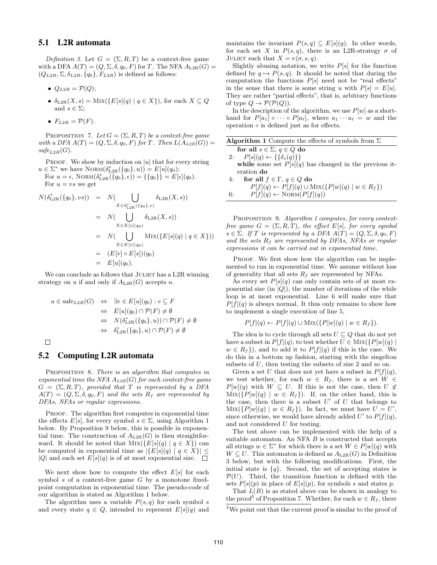# 5.1 L2R automata

Definition 3. Let  $G = (\Sigma, R, T)$  be a context-free game with a DFA  $A(T) = (Q, \Sigma, \delta, q_0, F)$  for T. The NFA  $A_{L2R}(G)$  $(Q_{L2R}, \Sigma, \delta_{L2R}, \{q_0\}, F_{L2R})$  is defined as follows:

- $Q_{L2R} = \mathcal{P}(Q);$
- $\delta_{\text{L2R}}(X,s) = \text{Mix}(\{E[s](q) \mid q \in X\})$ , for each  $X \subseteq Q$ and  $s \in \Sigma$ ;
- $F_{L2R} = \mathcal{P}(F)$ .

PROPOSITION 7. Let  $G = (\Sigma, R, T)$  be a context-free game with a DFA  $A(T) = (Q, \Sigma, \delta, q_0, F)$  for T. Then  $L(A_{L2R}(G)) =$  $safe_{L2R}(G)$ .

PROOF. We show by induction on  $|u|$  that for every string  $u \in \Sigma^*$  we have  $Norm(\delta_{\text{L2R}}^*(\{q_0\},u)) = E[u](q_0)$ :

For  $u = \epsilon$ , NORM $(\delta_{\text{L2R}}^*(\{q_0\}, \epsilon)) = \{\{q_0\}\} = E[\epsilon](q_0)$ . For  $u = vs$  we get

$$
N(\delta_{\text{L2R}}^{*}(\{q_{0}\}, vs)) = N(\bigcup_{X \in \delta_{\text{L2R}}^{*}(\{q_{0}\}, v)} \delta_{\text{L2R}}(X, s))
$$
  
\n
$$
= N(\bigcup_{X \in E[v](q_{0})} \delta_{\text{L2R}}(X, s))
$$
  
\n
$$
= N(\bigcup_{X \in E[v](q_{0})} \text{Mix}(\{E[s](q) \mid q \in X\}))
$$
  
\n
$$
= (E[v] \circ E[s])(q_{0})
$$
  
\n
$$
= E[u](q_{0}).
$$

 $\overline{1}$ 

We can conclude as follows that  $J \cup I \in T$  has a  $L 2R$  winning strategy on u if and only if  $A_{L2R}(G)$  accepts u.

$$
u \in \text{safe}_{L2R}(G) \Leftrightarrow \exists e \in E[u](q_0) : e \subseteq F
$$
  

$$
\Leftrightarrow E[u](q_0) \cap \mathcal{P}(F) \neq \emptyset
$$
  

$$
\Leftrightarrow N(\delta_{\text{L2R}}^*(\{q_0\}, u)) \cap \mathcal{P}(F) \neq \emptyset
$$
  

$$
\Leftrightarrow \delta_{\text{L2R}}^*(\{q_0\}, u) \cap \mathcal{P}(F) \neq \emptyset
$$

 $\Box$ 

### 5.2 Computing L2R automata

PROPOSITION 8. There is an algorithm that computes in exponential time the NFA  $A_{L2R}(G)$  for each context-free game  $G = (\Sigma, R, T)$ , provided that T is represented by a DFA  $A(T) = (Q, \Sigma, \delta, q_0, F)$  and the sets  $R_f$  are represented by DFAs, NFAs or regular expressions.

PROOF. The algorithm first computes in exponential time the effects  $E[s]$ , for every symbol  $s \in \Sigma$ , using Algorithm 1 below. By Proposition 9 below, this is possible in exponential time. The construction of  $A_{L2R}(G)$  is then straightforward. It should be noted that  $Mix({E[s](q) | q \in X})$  can be computed in exponential time as  $|\{E[s](q) | q \in X\}| \leq$ |Q| and each set  $E[s](q)$  is of at most exponential size.  $\square$ 

We next show how to compute the effect  $E[s]$  for each symbol  $s$  of a context-free game  $G$  by a monotone fixedpoint computation in exponential time. The pseudo-code of our algorithm is stated as Algorithm 1 below.

The algorithm uses a variable  $P(s, q)$  for each symbol s and every state  $q \in Q$ , intended to represent  $E[s](q)$  and

maintains the invariant  $P(s,q) \subseteq E[s](q)$ . In other words, for each set X in  $P(s, q)$ , there is an L2R-strategy  $\sigma$  of JULIET such that  $X = e(\sigma, s, q)$ .

Slightly abusing notation, we write  $P[s]$  for the function defined by  $q \mapsto P(s, q)$ . It should be noted that during the computation the functions  $P[s]$  need not be "real effects" in the sense that there is some string u with  $P[s] = E[u]$ . They are rather "partial effects", that is, arbitrary functions of type  $Q \to \mathcal{P}(\mathcal{P}(Q))$ .

In the description of the algorithm, we use  $P[w]$  as a shorthand for  $P[a_1] \circ \cdots \circ P[a_\ell]$ , where  $a_1 \cdots a_\ell = w$  and the operation ◦ is defined just as for effects.

|    | <b>Algorithm 1</b> Compute the effects of symbols from $\Sigma$          |
|----|--------------------------------------------------------------------------|
|    | for all $s \in \Sigma$ , $q \in Q$ do                                    |
|    | 2: $P[s](q) \leftarrow {\{\delta_s(q)\}}$                                |
|    | while some set $P[s](q)$ has changed in the previous it-                 |
|    | eration do                                                               |
| 4: | for all $f \in \Gamma$ , $q \in Q$ do                                    |
|    | $P[f](q) \leftarrow P[f](q) \cup \text{Mix}(\{P[w](q) \mid w \in R_f\})$ |

6: 
$$
P[f](q) \leftarrow \text{NORM}(P[f](q))
$$

PROPOSITION 9. Algorithm 1 computes, for every contextfree game  $G = (\Sigma, R, T)$ , the effect  $E[s]$ , for every symbol  $s \in \Sigma$ . If T is represented by a DFA  $A(T) = (Q, \Sigma, \delta, q_0, F)$ and the sets  $R_f$  are represented by DFAs, NFAs or regular expressions it can be carried out in exponential time.

PROOF. We first show how the algorithm can be implemented to run in exponential time. We assume without loss of generality that all sets  $R_f$  are represented by NFAs.

As every set  $P[s](q)$  can only contain sets of at most exponential size (in  $|Q|$ ), the number of iterations of the while loop is at most exponential. Line 6 will make sure that  $P[f](q)$  is always normal. It thus only remains to show how to implement a single execution of line 5,

$$
P[f](q) \leftarrow P[f](q) \cup \text{Mix}(\{P[w](q) \mid w \in R_f\}).
$$

The idea is to cycle through all sets  $U \subseteq Q$  that do not yet have a subset in  $P[f](q)$ , to test whether  $U \in \text{Mix}(\{P[w](q) \mid$  $w \in R_f$ , and to add it to  $P[f](q)$  if this is the case. We do this in a bottom up fashion, starting with the singelton subsets of  $U$ , then testing the subsets of size 2 and so on.

Given a set U that does not yet have a subset in  $P[f](q)$ , we test whether, for each  $w \in R_f$ , there is a set  $W \in$  $P[w](q)$  with  $W \subseteq U$ . If this is not the case, then  $U \notin$  $\text{Mix}(\{P[w](q) \mid w \in R_f\}).$  If, on the other hand, this is the case, then there is a subset  $U'$  of  $U$  that belongs to  $\text{Mix}(\{P[w](q) \mid w \in R_f\}).$  In fact, we must have  $U = U'$ , since otherwise, we would have already added U' to  $P[f](q)$ , and not considered  $U$  for testing.

The test above can be implemented with the help of a suitable automaton. An NFA B is constructed that accepts all strings  $w \in \Sigma^*$  for which there is a set  $W \in P[w](q)$  with  $W \subseteq U$ . This automaton is defined as  $A_{L2R}(G)$  in Definition 3 below, but with the following modifications. First, the initial state is  $\{q\}$ . Second, the set of accepting states is  $\mathcal{P}(U)$ . Third, the transition function is defined with the sets  $P[s](p)$  in place of  $E[s](p)$ , for symbols s and states p.

That  $L(B)$  is as stated above can be shown in analogy to the proof<sup>5</sup> of Proposition 7. Whether, for each  $w \in R_f$ , there

<sup>5</sup>We point out that the current proof is similar to the proof of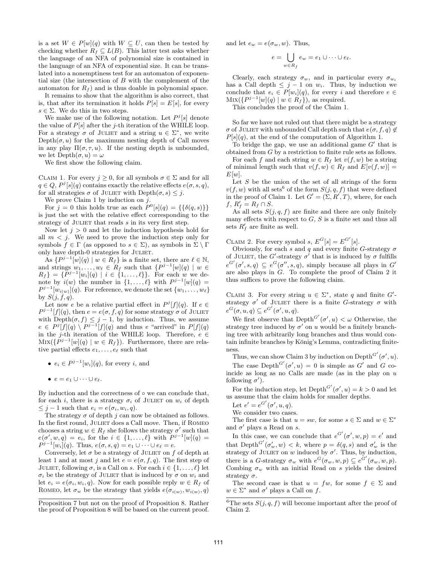is a set  $W \in P[w](q)$  with  $W \subseteq U$ , can then be tested by checking whether  $R_f \subseteq L(B)$ . This latter test asks whether the language of an NFA of polynomial size is contained in the language of an NFA of exponential size. It can be translated into a nonemptiness test for an automaton of exponential size (the intersection of B with the complement of the automaton for  $R_f$ ) and is thus doable in polynomial space.

It remains to show that the algorithm is also correct, that is, that after its termination it holds  $P[s] = E[s]$ , for every  $s \in \Sigma$ . We do this in two steps.

We make use of the following notation. Let  $P^j[s]$  denote the value of  $P[s]$  after the j-th iteration of the WHILE loop. For a strategy  $\sigma$  of JULIET and a string  $u \in \Sigma^*$ , we write Depth $(\sigma, u)$  for the maximum nesting depth of Call moves in any play  $\Pi(\sigma, \tau, u)$ . If the nesting depth is unbounded, we let  $Depth(\sigma, u)=\omega$ 

We first show the following claim.

CLAIM 1. For every  $j \geq 0$ , for all symbols  $\sigma \in \Sigma$  and for all  $q \in Q$ ,  $P^j[s](q)$  contains exactly the relative effects  $e(\sigma, s, q)$ , for all strategies  $\sigma$  of JULIET with Depth $(\sigma, s) \leq j$ .

We prove Claim 1 by induction on  $j$ .

For  $j = 0$  this holds true as each  $P^{0}[s](q) = \{\{\delta(q, s)\}\}\$ is just the set with the relative effect corresponding to the strategy of JULIET that reads  $s$  in its very first step.

Now let  $j > 0$  and let the induction hypothesis hold for all  $m < j$ . We need to prove the induction step only for symbols  $f \in \Gamma$  (as opposed to  $s \in \Sigma$ ), as symbols in  $\Sigma \setminus \Gamma$ only have depth-0 strategies for JULIET.

As  $\{P^{j-1}[w](q) \mid w \in R_f\}$  is a finite set, there are  $\ell \in \mathbb{N}$ , and strings  $w_1, \ldots, w_\ell \in R_f$  such that  $\{P^{j-1}[w](q) \mid w \in$  $R_f$ } = { $P^{j-1}[w_i](q) | i \in \{1, ..., \ell\}$ }. For each w we denote by  $i(w)$  the number in  $\{1, \ldots, \ell\}$  with  $P^{j-1}[w](q) =$  $P^{j-1}[w_{i(w)}](q)$ . For reference, we denote the set  $\{w_1, \ldots, w_\ell\}$ by  $S(j, f, q)$ .

Let now e be a relative partial effect in  $P^{j}[f](q)$ . If  $e \in$  $P^{j-1}[f](q)$ , then  $e = e(\sigma, f, q)$  for some strategy  $\sigma$  of JULIET with  $\text{Depth}(\sigma, f) \leq j-1$ , by induction. Thus, we assume  $e \in P^{j}[f](q) \setminus P^{j-1}[f](q)$  and thus e "arrived" in  $P[f](q)$ in the j-th iteration of the WHILE loop. Therefore,  $e \in$  $\text{Mix}(\lbrace \tilde{P}^{j-1}[w](q) \mid w \in R_f \rbrace)$ . Furthermore, there are relative partial effects  $e_1, \ldots, e_\ell$  such that

- $e_i \in P^{j-1}[w_i](q)$ , for every i, and
- $e = e_1 \cup \cdots \cup e_\ell$ .

By induction and the correctness of ∘ we can conclude that, for each i, there is a strategy  $\sigma_i$  of JULIET on  $w_i$  of depth  $\leq j-1$  such that  $e_i = e(\sigma_i, w_i, q)$ .

The strategy  $\sigma$  of depth j can now be obtained as follows. In the first round, JULIET does a Call move. Then, if ROMEO chooses a string  $w \in R_f$  she follows the strategy  $\sigma'$  such that  $e(\sigma', w, q) = e_i$ , for the  $i \in \{1, \ldots, \ell\}$  with  $P^{j-1}[w](q) =$  $P^{j-1}[w_i](q)$ . Thus,  $e(\sigma, s, q) = e_1 \cup \cdots \cup e_\ell = e$ .

Conversely, let  $\sigma$  be a strategy of JULIET on f of depth at least 1 and at most j and let  $e = e(\sigma, f, q)$ . The first step of JULIET, following  $\sigma$ , is a Call on s. For each  $i \in \{1, \ldots, \ell\}$  let  $\sigma_i$  be the strategy of JULIET that is induced by  $\sigma$  on  $w_i$  and let  $e_i = e(\sigma_i, w_i, q)$ . Now for each possible reply  $w \in R_f$  of ROMEO, let  $\sigma_w$  be the strategy that yields  $e(\sigma_{i(w)}, w_{i(w)}, q)$ 

and let  $e_w = e(\sigma_w, w)$ . Thus,

$$
e = \bigcup_{w \in R_f} e_w = e_1 \cup \dots \cup e_\ell.
$$

Clearly, each strategy  $\sigma_w$ , and in particular every  $\sigma_{w_i}$ has a Call depth  $\leq j - 1$  on  $w_i$ . Thus, by induction we conclude that  $e_i \in P[w_i](q)$ , for every i and therefore  $e \in$  $\text{Mix}(\{P^{j-1}[w](q) \mid w \in R_f\}),$  as required.

This concludes the proof of the Claim 1.

So far we have not ruled out that there might be a strategy  $\sigma$  of JULIET with unbounded Call depth such that  $e(\sigma, f, q) \notin$  $P[s](q)$ , at the end of the computation of Algorithm 1.

To bridge the gap, we use an additional game  $G'$  that is obtained from G by a restriction to finite rule sets as follows.

For each f and each string  $w \in R_f$  let  $v(f, w)$  be a string of minimal length such that  $v(f, w) \in R_f$  and  $E[v(f, w)] =$  $E[w]$ .

Let  $S$  be the union of the set of all strings of the form  $v(f, w)$  with all sets<sup>6</sup> of the form  $S(j, q, f)$  that were defined in the proof of Claim 1. Let  $G' = (\Sigma, R', T)$ , where, for each  $f, R'_f = R_f \cap S.$ 

As all sets  $S(j, q, f)$  are finite and there are only finitely many effects with respect to  $G, S$  is a finite set and thus all sets  $R_f'$  are finite as well.

CLAIM 2. For every symbol s,  $E^G[s] = E^{G'}[s]$ .

Obviously, for each  $s$  and  $q$  and every finite  $G\text{-strategy }\sigma$ of JULIET, the G'-strategy  $\sigma'$  that is is induced by  $\sigma$  fulfills  $e^{G'}(\sigma', s, q) \subseteq e^{G}(\sigma'', s, q)$ , simply because all plays in G' are also plays in G. To complete the proof of Claim 2 it thus suffices to prove the following claim.

CLAIM 3. For every string  $u \in \Sigma^*$ , state q and finite G'strategy  $\sigma'$  of JULIET there is a finite G-strategy  $\sigma$  with  $e^{G}(\sigma, u, q) \subseteq e^{G'}(\sigma', u, q).$ 

We first observe that  $\mathrm{Depth}^{G'}(\sigma',u)<\omega$  Otherwise, the strategy tree induced by  $\sigma'$  on u would be a finitely branching tree with arbitrarily long branches and thus would contain infinite branches by König's Lemma, contradicting finiteness.

Thus, we can show Claim 3 by induction on Depth<sup> $G'(\sigma', u)$ </sup>.

The case  $Depth^{G'}(\sigma',u)=0$  is simple as  $G'$  and  $G$  coincide as long as no Calls are made (as in the play on  $u$ following  $\sigma'$ ).

For the induction step, let  $\text{Depth}^{G'}(\sigma', u) = k > 0$  and let us assume that the claim holds for smaller depths.

Let  $e' = e^{G'}(\sigma', u, q)$ .

We consider two cases.

The first case is that  $u = sw$ , for some  $s \in \Sigma$  and  $w \in \Sigma^*$ and  $\sigma'$  plays a Read on s.

In this case, we can conclude that  $e^{G'}(\sigma', w, p) = e'$  and that  $\mathrm{Depth}^{G'}(\sigma'_w,w) < k$ , where  $p = \delta(q,s)$  and  $\sigma'_w$  is the strategy of JULIET on w induced by  $\sigma'$ . Thus, by induction, there is a *G*-strategy  $\sigma_w$  with  $e^G(\sigma_w, w, p) \subseteq e^{G'}(\sigma_w, w, p)$ . Combing  $\sigma_w$  with an initial Read on s yields the desired strategy  $\sigma$ .

The second case is that  $u = fw$ , for some  $f \in \Sigma$  and  $w \in \Sigma^*$  and  $\sigma'$  plays a Call on f.

Proposition 7 but not on the proof of Proposition 8. Rather the proof of Proposition 8 will be based on the current proof.

<sup>&</sup>lt;sup>6</sup>The sets  $S(j, q, f)$  will become important after the proof of Claim 2.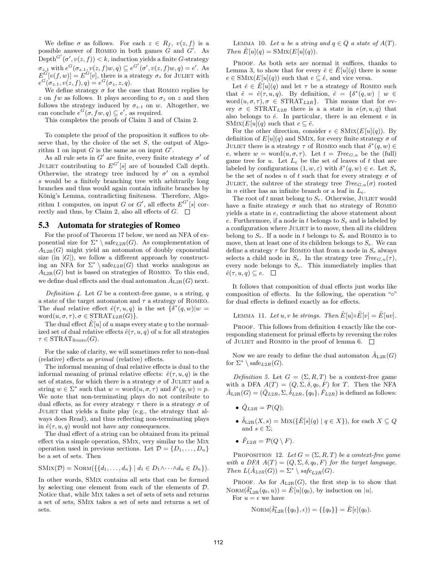We define  $\sigma$  as follows. For each  $z \in R_f$ ,  $v(z, f)$  is a possible answer of ROMEO in both games  $\tilde{G}$  and  $\tilde{G}'$ . As  $\text{Depth}^{G'}(\sigma', v(z, f)) < k$ , induction yields a finite G-strategy  $\sigma_{z,1}$  with  $e^G(\sigma_{z,1}, v(z, f)w, q) \subseteq e^{G'}(\sigma', v(z, f)w, q) = e'$ . As  $E^{G}[v(f, w)] = E^{G}[v]$ , there is a strategy  $\sigma_z$  for JULIET with  $e^{G}(\sigma_{z,1}, v(z, f), q) = e^{G}(\sigma_{z}, z, q).$ 

We define strategy  $\sigma$  for the case that ROMEO replies by z on fw as follows. It plays according to  $\sigma_z$  on z and then follows the strategy induced by  $\sigma_{z,1}$  on w. Altogether, we can conclude  $e^G(\sigma, fw, q) \subseteq e'$ , as required.

This completes the proofs of Claim 3 and of Claim 2.

To complete the proof of the proposition it suffices to observe that, by the choice of the set  $S$ , the output of Algorithm 1 on input  $G$  is the same as on input  $G'$ .

As all rule sets in  $G'$  are finite, every finite strategy  $\sigma'$  of JULIET contributing to  $E^{G'}[s]$  are of bounded Call depth. Otherwise, the strategy tree induced by  $\sigma'$  on a symbol s would be a finitely branching tree with arbitrarily long branches and thus would again contain infinite branches by König's Lemma, contradicting finiteness. Therefore, Algorithm 1 computes, on input G or G', all effects  $E^{G'}[s]$  correctly and thus, by Claim 2, also all effects of  $G$ .  $\Box$ 

#### 5.3 Automata for strategies of Romeo

For the proof of Theorem 17 below, we need an NFA of exponential size for  $\Sigma^* \setminus \text{safe}_{L2R}(G)$ . As complementation of  $A_{L2R}(G)$  might yield an automaton of doubly exponential size (in  $|G|$ ), we follow a different approach by constructing an NFA for  $\Sigma^* \setminus \text{safe}_{L2R}(G)$  that works analogous as  $A_{\text{L2R}}(G)$  but is based on strategies of ROMEO. To this end, we define dual effects and the dual automaton  $A_{L2R}(G)$  next.

Definition 4. Let G be a context-free game, u a string, q a state of the target automaton and  $\tau$  a strategy of ROMEO. The dual relative effect  $\hat{e}(\tau, u, q)$  is the set  $\{\delta^*(q, w)|w =$ word $(u, \sigma, \tau), \sigma \in \mathrm{STRAT}_{L2R}(G)$ .

The dual effect  $E[u]$  of u maps every state q to the normalized set of dual relative effects  $\hat{e}(\tau, u, q)$  of u for all strategies  $\tau \in \mathrm{STRAT}_{\mathrm{ROMEO}}(G)$ .

For the sake of clarity, we will sometimes refer to non-dual (relative) effects as primal (relative) effects.

The informal meaning of dual relative effects is dual to the informal meaning of primal relative effects:  $\hat{e}(\tau, u, q)$  is the set of states, for which there is a strategy  $\sigma$  of JULIET and a string  $w \in \Sigma^*$  such that  $w = word(u, \sigma, \tau)$  and  $\delta^*(q, w) = p$ . We note that non-terminating plays do not contribute to dual effects, as for every strategy  $\tau$  there is a strategy  $\sigma$  of JULIET that yields a finite play (e.g., the strategy that always does Read), and thus reflecting non-terminating plays in  $\hat{e}(\tau, u, q)$  would not have any consequences.

The dual effect of a string can be obtained from its primal effect via a simple operation, SMix, very similar to the Mix operation used in previous sections. Let  $\mathcal{D} = \{D_1, \ldots, D_n\}$ be a set of sets. Then

$$
SMIX(\mathcal{D}) = NORMAL\{\{d_1,\ldots,d_n\} \mid d_1 \in D_1 \wedge \cdots \wedge d_n \in D_n\}.
$$

In other words, SMix contains all sets that can be formed by selecting one element from each of the elements of D. Notice that, while Mix takes a set of sets of sets and returns a set of sets, SMix takes a set of sets and returns a set of sets.

LEMMA 10. Let u be a string and  $q \in Q$  a state of  $A(T)$ . Then  $\hat{E}[u](q) = \text{SMIX}(E[u](q)).$ 

PROOF. As both sets are normal it suffices, thanks to Lemma 3, to show that for every  $\hat{e} \in E[u](q)$  there is some  $e \in \text{SMIX}(E[u](q))$  such that  $e \subseteq \hat{e}$ , and vice versa.

Let  $\hat{e} \in \hat{E}[u](q)$  and let  $\tau$  be a strategy of ROMEO such that  $\hat{e} = \hat{e}(\tau, u, q)$ . By definition,  $\hat{e} = \{\delta^*(q, w) \mid w \in$  $word(u, \sigma, \tau), \sigma \in \text{STRAT}_{L2R}$ . This means that for every  $\sigma \in \mathrm{STRAT}_{L2R}$  there is a a state in  $e(\sigma, u, q)$  that also belongs to  $\hat{e}$ . In particular, there is an element  $e$  in  $\text{SMIX}(E[u](q) \text{ such that } e \subseteq \hat{e}.$ 

For the other direction, consider  $e \in \text{SMIX}(E[u](q))$ . By definition of  $E[u](q)$  and SMIX, for every finite strategy  $\sigma$  of JULIET there is a strategy  $\tau$  of ROMEO such that  $\delta^*(q, w) \in$ e, where  $w = \text{word}(u, \sigma, \tau)$ . Let  $t = Tree_{G,u}$  be the (full) game tree for  $u$ . Let  $L_e$  be the set of leaves of t that are labeled by configurations  $(1, w, \varepsilon)$  with  $\delta^*(q, w) \in e$ . Let  $S_e$ be the set of nodes n of t such that for every strategy  $\sigma$  of JULIET, the subtree of the strategy tree  $Tree_{G,u}(\sigma)$  rooted in *n* either has an infinite branch or a leaf in  $L_e$ .

The root of t must belong to  $S_e$ . Otherwise, JULIET would have a finite strategy  $\sigma$  such that no strategy of ROMEO yields a state in e, contradicting the above statement about e. Furthermore, if a node in t belongs to  $S_e$  and is labeled by a configuration where JULIET is to move, then all its children belong to  $S_e$ . If a node in t belongs to  $S_e$  and ROMEO is to move, then at least one of its children belongs to  $S_e$ . We can define a strategy  $\tau$  for ROMEO that from a node in  $S_e$  always selects a child node in  $S_e$ . In the strategy tree  $Tree_{G,u}(\tau)$ , every node belongs to  $S_e$ . This immediately implies that  $\hat{e}(\tau, u, q) \subseteq e$ .  $\square$ 

It follows that composition of dual effects just works like composition of effects. In the following, the operation "∘" for dual effects is defined exactly as for effects.

LEMMA 11. Let u, v be strings. Then  $E[u] \circ E[v] = E[wv]$ .

PROOF. This follows from definition 4 exactly like the corresponding statement for primal effects by reversing the roles of JULIET and ROMEO in the proof of lemma 6.  $\Box$ 

Now we are ready to define the dual automaton  $A_{L2R}(G)$ for  $\Sigma^* \setminus \text{safe}_{L2R}(G)$ .

Definition 5. Let  $G = (\Sigma, R, T)$  be a context-free game with a DFA  $A(T) = (Q, \Sigma, \delta, q_0, F)$  for T. Then the NFA  $\hat{A}_{\text{L2R}}(G) = (\hat{Q}_{L2R}, \Sigma, \hat{\delta}_{L2R}, \{q_0\}, \hat{F}_{L2R})$  is defined as follows:

- $\hat{Q}_{L2R} = \mathcal{P}(Q);$
- $\hat{\delta}_{\text{L2R}}(X,s) = \text{Mix}(\{\hat{E}[s](q) \mid q \in X\})$ , for each  $X \subseteq Q$ and  $s \in \Sigma$ ;
- $\hat{F}_{L2R} = \mathcal{P}(Q \setminus F)$ .

PROPOSITION 12. Let  $G = (\Sigma, R, T)$  be a context-free game with a DFA  $A(T) = (Q, \Sigma, \delta, q_0, F)$  for the target language. Then  $L(\hat{A}_{L2R}(G)) = \Sigma^* \setminus \text{safe}_{L2R}(G)$ .

PROOF. As for  $A_{L2R}(G)$ , the first step is to show that NORM $(\hat{\delta}_{\text{L2R}}^*(q_0, u)) = \hat{E}[u](q_0)$ , by induction on |u|. For  $u = \epsilon$  we have

$$
NORM(\hat{\delta}_{\text{L2R}}^*(\{q_0\}, \epsilon)) = \{\{q_0\}\} = \hat{E}[\epsilon](q_0).
$$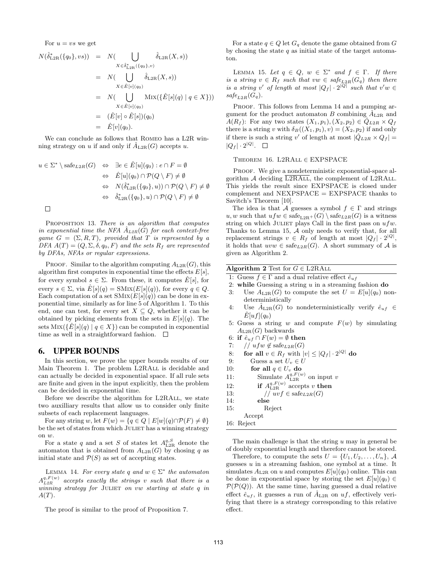For  $u = vs$  we get

 $\Box$ 

$$
N(\hat{\delta}_{\text{L2R}}^*(\{q_0\}, vs)) = N(\bigcup_{X \in \hat{\delta}_{\text{L2R}}^*(\{q_0\}, v)} \hat{\delta}_{\text{L2R}}(X, s))
$$
  
\n
$$
= N(\bigcup_{X \in \hat{E}[v](q_0)} \hat{\delta}_{\text{L2R}}(X, s))
$$
  
\n
$$
= N(\bigcup_{X \in \hat{E}[v](q_0)} \text{Mix}(\{\hat{E}[s](q) \mid q \in X\}))
$$
  
\n
$$
= (\hat{E}[v] \circ \hat{E}[s])(q_0)
$$
  
\n
$$
= \hat{E}[v](q_0).
$$

We can conclude as follows that Romeo has a L2R winning strategy on u if and only if  $\tilde{A}_{\text{L2R}}(G)$  accepts u.

$$
u \in \Sigma^* \setminus \text{safe}_{L2R}(G) \Leftrightarrow \exists e \in \hat{E}[u](q_0) : e \cap F = \emptyset
$$
  

$$
\Leftrightarrow \hat{E}[u](q_0) \cap \mathcal{P}(Q \setminus F) \neq \emptyset
$$
  

$$
\Leftrightarrow N(\hat{\delta}_{L2R}^*(\{q_0\}, u)) \cap \mathcal{P}(Q \setminus F) \neq \emptyset
$$
  

$$
\Leftrightarrow \hat{\delta}_{L2R}^*(\{q_0\}, u) \cap \mathcal{P}(Q \setminus F) \neq \emptyset
$$

PROPOSITION 13. There is an algorithm that computes in exponential time the NFA  $\hat{A}_{L2R}(G)$  for each context-free game  $G = (\Sigma, R, T)$ , provided that T is represented by a DFA  $A(T) = (Q, \Sigma, \delta, q_0, F)$  and the sets  $R_f$  are represented by DFAs, NFAs or regular expressions.

PROOF. Similar to the algorithm computing  $A_{\text{L2R}}(G)$ , this algorithm first computes in exponential time the effects  $E[s]$ , for every symbol  $s \in \Sigma$ . From these, it computes  $E[s]$ , for every  $s \in \Sigma$ , via  $\hat{E}[s](q) = \text{SMIX}(E[s](q))$ , for every  $q \in Q$ . Each computation of a set  $\text{SMIX}(E[s](q))$  can be done in exponential time, similarly as for line 5 of Algorithm 1. To this end, one can test, for every set  $X \subseteq Q$ , whether it can be obtained by picking elements from the sets in  $E[s](q)$ . The sets  $MIX({E[s](q) | q \in X})$  can be computed in exponential time as well in a straightforward fashion.  $\Box$ 

## 6. UPPER BOUNDS

In this section, we prove the upper bounds results of our Main Theorem 1. The problem L2RAll is decidable and can actually be decided in exponential space. If all rule sets are finite and given in the input explicitly, then the problem can be decided in exponential time.

Before we describe the algorithm for L2RAll, we state two auxilliary results that allow us to consider only finite subsets of each replacement languages.

For any string w, let  $F(w) = \{q \in Q \mid E[w](q) \cap \mathcal{P}(F) \neq \emptyset\}$ be the set of states from which JULIET has a winning strategy on w.

For a state q and a set S of states let  $A^{q,S}_{\text{L2R}}$  denote the automaton that is obtained from  $A_{L2R}(G)$  by chosing q as initial state and  $\mathcal{P}(S)$  as set of accepting states.

LEMMA 14. For every state q and  $w \in \Sigma^*$  the automaton  $A_{L2R}^{q,F(w)}$  accepts exactly the strings v such that there is a winning strategy for JULIET on vw starting at state  $q$  in  $A(T)$ .

The proof is similar to the proof of Proposition 7.

For a state  $q \in Q$  let  $G_q$  denote the game obtained from G by chosing the state  $q$  as initial state of the target automaton.

LEMMA 15. Let  $q \in Q$ ,  $w \in \Sigma^*$  and  $f \in \Gamma$ . If there is a string  $v \in R_f$  such that  $vw \in \text{safe}_{L2R}(G_q)$  then there is a string v' of length at most  $|Q_f| \cdot 2^{|Q|}$  such that  $v'w \in$  $safe_{L2R}(G_q)$ .

PROOF. This follows from Lemma 14 and a pumping argument for the product automaton B combining  $A<sub>L2R</sub>$  and  $A(R_f)$ : For any two states  $(X_1, p_1), (X_2, p_2) \in \hat{Q}_{L2R} \times Q_f$ there is a string v with  $\delta_B((X_1, p_1), v) = (X_2, p_2)$  if and only if there is such a string v' of length at most  $|\hat{Q}_{L2R} \times Q_f|$  =  $|Q_f | \cdot 2^{|Q|}$ .

Theorem 16. L2RAll ∈ EXPSPACE

PROOF. We give a nondeterministic exponential-space algorithm  $\mathcal A$  deciding  $\overline{\text{L2RAL}}$ , the complement of L2RALL. This yields the result since EXPSPACE is closed under complement and  $NEXPSPACE = EXPSPACE$  thanks to Savitch's Theorem [10].

The idea is that A guesses a symbol  $f \in \Gamma$  and strings u, w such that  $ufw \in \text{safe}_{\text{L2R}^+}(G) \setminus \text{safe}_{\text{L2R}}(G)$  is a witness string on which JULIET plays Call in the first pass on  $ufw$ . Thanks to Lemma 15,  $A$  only needs to verify that, for all replacement strings  $v \in R_f$  of length at most  $|Q_f| \cdot 2^{|Q|}$ , it holds that  $uvw \in \text{safe}_{L2R}(G)$ . A short summary of A is given as Algorithm 2.

Algorithm 2 Test for  $G \in \text{L2RAL}$ 

- 1: Guess  $f \in \Gamma$  and a dual relative effect  $\hat{e}_{uf}$
- 2: while Guessing a string  $u$  in a streaming fashion do
- 3: Use  $A_{L2R}(G)$  to compute the set  $U = E[u](q_0)$  nondeterministically
- 4: Use  $\tilde{A}_{\text{L2R}}(G)$  to nondeterministically verify  $\hat{e}_{uf} \in$  $E[u f](q_0)$
- 5: Guess a string w and compute  $F(w)$  by simulating  $A_{\text{L2R}}(G)$  backwards
- 6: if  $\hat{e}_{uf} \cap F(w) = \emptyset$  then
- 7: //  $ufw \notin \text{safe}_{L2R}(G)$
- 8: **for all**  $v \in R_f$  with  $|v| \leq |Q_f| \cdot 2^{|Q|}$  do
- 9: Guess a set  $U_v \in U$
- 10: for all  $q \in U_v$  do
- 11: Simulate  $A_{\text{L2R}}^{q,F(w)}$  on input v
- 12: **if**  $A_{\text{L2R}}^{q,F(w)}$  accepts v **then**
- 13:  $// wt \in \text{safe}_{L2R}(G)$
- 14: else
- 15: Reject
- Accept

|  | 16: Reject |
|--|------------|
|--|------------|

The main challenge is that the string  $u$  may in general be of doubly exponential length and therefore cannot be stored.

Therefore, to compute the sets  $U = \{U_1, U_2, \ldots, U_n\}, \mathcal{A}$ guesses  $u$  in a streaming fashion, one symbol at a time. It simulates  $A_{L2R}$  on u and computes  $E[u](q_0)$  online. This can be done in exponential space by storing the set  $E[u](q_0) \in$  $\mathcal{P}(\mathcal{P}(Q))$ . At the same time, having guessed a dual relative effect  $\hat{e}_{uf}$ , it guesses a run of  $A_{L2R}$  on  $uf$ , effectively verifying that there is a strategy corresponding to this relative effect.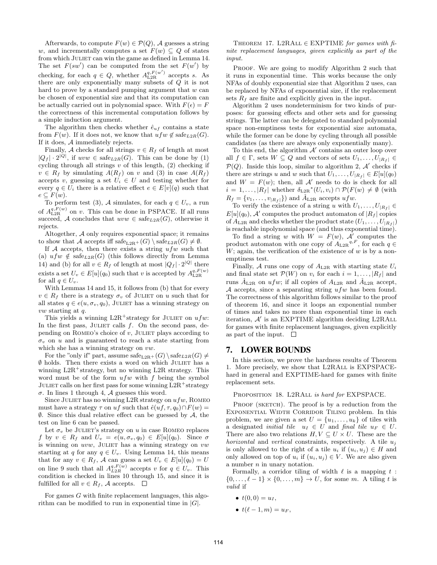Afterwards, to compute  $F(w) \in \mathcal{P}(Q)$ , A guesses a string w, and incrementally computes a set  $F(w) \subseteq Q$  of states from which JULIET can win the game as defined in Lemma 14. The set  $F(sw')$  can be computed from the set  $F(w')$  by checking, for each  $q \in Q$ , whether  $A_{\text{L2R}}^{q,F(w')}$  accepts s. As there are only exponentially many subsets of Q it is not hard to prove by a standard pumping argument that  $w$  can be chosen of exponential size and that its computation can be actually carried out in polynomial space. With  $F(\epsilon) = F$ the correctness of this incremental computation follows by a simple induction argument.

The algorithm then checks whether  $\hat{e}_{uf}$  contains a state from  $F(w)$ . If it does not, we know that  $ufw \notin \text{safe}_{L2R}(G)$ . If it does, A immediately rejects.

Finally, A checks for all strings  $v \in R_f$  of length at most  $|Q_f| \cdot 2^{|Q|}$ , if  $uvw \in \text{safe}_{L2R}(G)$ . This can be done by (1) cycling through all strings  $v$  of this length,  $(2)$  checking if  $v \in R_f$  by simulating  $A(R_f)$  on v and (3) in case  $A(R_f)$ accepts v, guessing a set  $U_i \in U$  and testing whether for every  $q \in U_i$  there is a relative effect  $e \in E[v](q)$  such that  $e \subseteq F(w)$ .

To perform test (3), A simulates, for each  $q \in U_v$ , a run of  $A_{\text{L2R}}^{q,F(w)}$  on v. This can be done in PSPACE. If all runs succeed, A concludes that  $uvw \in \text{safe}_{L2R}(G)$ , otherwise it rejects.

Altogether, A only requires exponential space; it remains to show that A accepts iff  $\text{safe}_{\text{L2R}+}(G) \setminus \text{safe}_{\text{L2R}}(G) \neq \emptyset$ .

If  $A$  accepts, then there exists a string  $ufw$  such that (a)  $ufw \notin \text{safe}_{L2R}(G)$  (this follows directly from Lemma 14) and (b) for all  $v \in R_f$  of length at most  $|Q_f| \cdot 2^{|Q|}$  there exists a set  $U_v \in E[u](q_0)$  such that v is accepted by  $A_{\text{L2R}}^{q,F(w)}$ for all  $q \in U_v$ .

With Lemmas 14 and 15, it follows from (b) that for every  $v \in R_f$  there is a strategy  $\sigma_v$  of JULIET on u such that for all states  $q \in e(u, \sigma_v, q_0)$ , JULIET has a winning strategy on vw starting at q.

This yields a winning  $L2R^+$ strategy for JULIET on  $ufw$ : In the first pass, JULIET calls  $f$ . On the second pass, depending on ROMEO's choice of  $v$ , JULIET plays according to  $\sigma_v$  on u and is guaranteed to reach a state starting from which she has a winning strategy on vw.

For the "only if" part, assume  $\text{safe}_{\text{L2R+}}(G) \setminus \text{safe}_{\text{L2R}}(G) \neq$  $\emptyset$  holds. Then there exists a word on which JULIET has a winning  $L2R^+$ strategy, but no winning  $L2R$  strategy. This word must be of the form  $ufw$  with f being the symbol JULIET calls on her first pass for some winning  $L2R^+$ strategy σ. In lines 1 through 4, A guesses this word.

Since JULIET has no winning L2R strategy on  $ufw$ , ROMEO must have a strategy  $\tau$  on uf such that  $\hat{e}(uf, \tau, q_0) \cap F(w) =$  $\emptyset$ . Since this dual relative effect can be guessed by  $\mathcal{A}$ , the test on line 6 can be passed.

Let  $\sigma_v$  be JULIET's strategy on u in case ROMEO replaces f by  $v \in R_f$  and  $U_v = e(u, \sigma_v, q_0) \in E[u](q_0)$ . Since  $\sigma$ is winning on  $uvw$ , JULIET has a winning strategy on  $vw$ starting at q for any  $q \in U_v$ . Using Lemma 14, this means that for any  $v \in R_f$ , A can guess a set  $U_v \in E[u](q_0) = U$ on line 9 such that all  $A_{L2R}^{q,F(w)}$  accepts v for  $q \in U_v$ . This condition is checked in lines 10 through 15, and since it is fulfilled for all  $v \in R_f$ , A accepts.  $\Box$ 

For games G with finite replacement languages, this algorithm can be modified to run in exponential time in  $|G|$ .

THEOREM 17. L2RALL  $\in$  EXPTIME for games with finite replacement languages, given explicitly as part of the input.

PROOF. We are going to modify Algorithm 2 such that it runs in exponential time. This works because the only NFAs of doubly exponential size that Algorithm 2 uses, can be replaced by NFAs of exponential size, if the replacement sets  $R_f$  are finite and explicitly given in the input.

Algorithm 2 uses nondeterminism for two kinds of purposes: for guessing effects and other sets and for guessing strings. The latter can be delegated to standard polynomial space non-emptiness tests for exponential size automata, while the former can be done by cycling through all possible candidates (as there are always only exponentially many).

To this end, the algorithm  $A'$  contains an outer loop over all  $f \in \Gamma$ , sets  $W \subseteq Q$  and vectors of sets  $U_1, \ldots, U_{|R_f|} \in$  $\mathcal{P}(Q)$ . Inside this loop, similar to algorithm 2,  $\mathcal{A}'$  checks if there are strings u and w such that  $U_1, \ldots, U_{|R_f|} \in E[u](q_0)$ and  $W = F(w)$ ; then, all A' needs to do is check for all  $i = 1, \ldots, |R_f|$  whether  $\delta_{\text{L2R}}^{*}(U_i, v_i) \cap \mathcal{P}(F(w) \neq \emptyset)$  (with  $R_f = \{v_1, \ldots, v_{|R_f|}\}\)$  and  $\ddot{A}_{\text{L2R}}$  accepts  $ufw$ .

To verify the existence of a string u with  $U_1, \ldots, U_{|R_f|} \in$  $E[u](q_0)$ , A' computes the product automaton of  $|R_f|$  copies of  $A_{\text{L2R}}$  and checks whether the product state  $(U_1, \ldots, U_{|R_f|})$ is reachable inpolynomial space (and thus exponential time).

To find a string w with  $W = F(w)$ ,  $\mathcal{A}'$  computes the product automaton with one copy of  $A_{L2R}^{q,F}$ , for each  $q \in$  $W$ ; again, the verification of the existence of  $w$  is by a nonemptiness test.

Finally, A runs one copy of  $A_{L2R}$  with starting state  $U_i$ and final state set  $\mathcal{P}(W)$  on  $v_i$  for each  $i = 1, \ldots, |R_f|$  and runs  $\hat{A}_{\text{L2R}}$  on  $ufw$ ; if all copies of  $A_{\text{L2R}}$  and  $\hat{A}_{\text{L2R}}$  accept, A accepts, since a separating string  $ufw$  has been found. The correctness of this algorithm follows similar to the proof of theorem 16, and since it loops an exponential number of times and takes no more than exponential time in each iteration, A' is an EXPTIME algorithm deciding L2RALL for games with finite replacement languages, given explicitly as part of the input.  $\Box$ 

#### 7. LOWER BOUNDS

In this section, we prove the hardness results of Theorem 1. More precisely, we show that L2RAll is EXPSPACEhard in general and EXPTIME-hard for games with finite replacement sets.

PROPOSITION 18. L2RALL is hard for EXPSPACE.

PROOF (SKETCH). The proof is by a reduction from the Exponential Width Corridor Tiling problem. In this problem, we are given a set  $U = \{u_1, \ldots, u_k\}$  of tiles with a designated *initial tile*  $u_I \in U$  and *final tile*  $u_F \in U$ . There are also two relations  $H, V \subseteq U \times U$ . These are the *horizontal* and *vertical* constraints, respectively. A tile  $u_j$ is only allowed to the right of a tile  $u_i$  if  $(u_i, u_j) \in H$  and only allowed on top of  $u_i$  if  $(u_i, u_j) \in V$ . We are also given a number n in unary notation.

Formally, a corridor tiling of width  $\ell$  is a mapping  $t$ :  $\{0, \ldots, \ell-1\} \times \{0, \ldots, m\} \to U$ , for some m. A tiling t is valid if

- $t(0, 0) = u_I$ ,
- $t(\ell 1, m) = u_F$ ,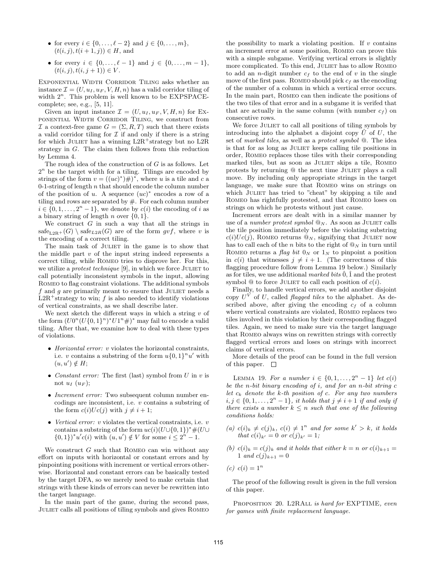- for every  $i \in \{0, ..., \ell 2\}$  and  $j \in \{0, ..., m\}$ ,  $(t(i, j), t(i + 1, j)) \in H$ , and
- for every  $i \in \{0, ..., \ell 1\}$  and  $j \in \{0, ..., m 1\}$ ,  $(t(i, j), t(i, j + 1)) \in V$ .

Exponential Width Corridor Tiling asks whether an instance  $\mathcal{I} = (U, u_I, u_F, V, H, n)$  has a valid corridor tiling of width  $2^n$ . This problem is well known to be EXPSPACEcomplete; see, e.g., [5, 11].

Given an input instance  $\mathcal{I} = (U, u_I, u_F, V, H, n)$  for Exponential Width Corridor Tiling, we construct from I a context-free game  $G = (\Sigma, R, T)$  such that there exists a valid corridor tiling for  $\mathcal I$  if and only if there is a string for which JULIET has a winning  $\mathrm{L2R}^+\mathrm{strategy}$  but no  $\mathrm{L2R}$ strategy in G. The claim then follows from this reduction by Lemma 4.

The rough idea of the construction of  $G$  is as follows. Let  $2<sup>n</sup>$  be the target width for a tiling. Tilings are encoded by strings of the form  $v = ((uc)^*) \#)^*$ , where u is a tile and c a 0-1-string of length  $n$  that should encode the column number of the position of u. A sequence  $(uc)^*$  encodes a row of a tiling and rows are separated by  $#$ . For each column number  $i \in \{0, 1, \ldots, 2^n - 1\}$ , we denote by  $c(i)$  the encoding of i as a binary string of length n over  $\{0, 1\}$ .

We construct  $G$  in such a way that all the strings in  $\text{safe}_{\text{L2R}+}(G) \setminus \text{safe}_{\text{L2R}}(G)$  are of the form  $gvf$ , where v is the encoding of a correct tiling.

The main task of JULIET in the game is to show that the middle part  $v$  of the input string indeed represents a correct tiling, while Romeo tries to disprove her. For this, we utilize a *protest technique* [9], in which we force JULIET to call potentially inconsistent symbols in the input, allowing Romeo to flag constraint violations. The additional symbols f and  $q$  are primarily meant to ensure that JULIET needs a  $L2R^+$ strategy to win; f is also needed to identify violations of vertical constraints, as we shall describe later.

We next sketch the different ways in which a string  $v$  of the form  $(U0^n(U{0,1}^n)^*U1^n\#)^*$  may fail to encode a valid tiling. After that, we examine how to deal with these types of violations.

- Horizontal error: v violates the horizontal constraints, i.e. v contains a substring of the form  $u\{0,1\}^n u'$  with  $(u, u') \notin H;$
- Constant error: The first (last) symbol from  $U$  in  $v$  is not  $u_I(u_F);$
- *Increment error*: Two subsequent column number encodings are inconsistent, i.e. v contains a substring of the form  $c(i)Uc(j)$  with  $j \neq i + 1$ ;
- Vertical error:  $v$  violates the vertical constraints, i.e.  $v$ contains a substring of the form  $uc(i)(U\cup\{0,1\})^* \# (U\cup$  $\{0,1\}^* u'c(i)$  with  $(u, u') \notin V$  for some  $i \leq 2^n - 1$ .

We construct  $G$  such that ROMEO can win without any effort on inputs with horizontal or constant errors and by pinpointing positions with increment or vertical errors otherwise. Horizontal and constant errors can be basically tested by the target DFA, so we merely need to make certain that strings with these kinds of errors can never be rewritten into the target language.

In the main part of the game, during the second pass, JULIET calls all positions of tiling symbols and gives ROMEO the possibility to mark a violating position. If  $v$  contains an increment error at some position, Romeo can prove this with a simple subgame. Verifying vertical errors is slightly more complicated. To this end, JULIET has to allow ROMEO to add an *n*-digit number  $c_f$  to the end of v in the single move of the first pass. ROMEO should pick  $c_f$  as the encoding of the number of a column in which a vertical error occurs. In the main part, Romeo can then indicate the positions of the two tiles of that error and in a subgame it is verifed that that are actually in the same column (with number  $c_f$ ) on consecutive rows.

We force JULIET to call all positions of tiling symbols by introducing into the alphabet a disjoint copy  $\hat{U}$  of U, the set of marked tiles, as well as a protest symbol @. The idea is that for as long as JULIET keeps calling tile positions in order, Romeo replaces those tiles with their corresponding marked tiles, but as soon as JULIET skips a tile, ROMEO protests by returning  $\omega$  the next time JULIET plays a call move. By including only appropriate strings in the target language, we make sure that Romeo wins on strings on which JULIET has tried to "cheat" by skipping a tile and Romeo has rightfully protested, and that Romeo loses on strings on which he protests without just cause.

Increment errors are dealt with in a similar manner by use of a number protest symbol  $\mathbb{Q}_N$ . As soon as JULIET calls the tile position immediately before the violating substring  $c(i)Uc(j)$ , ROMEO returns  $\mathcal{Q}_N$ , signifying that JULIET now has to call each of the n bits to the right of  $\mathcal{Q}_N$  in turn until ROMEO returns a flag bit  $0_N$  or  $1_N$  to pinpoint a position in  $c(i)$  that witnesses  $j \neq i + 1$ . (The correctness of this flagging procedure follow from Lemma 19 below.) Similarly as for tiles, we use additional *marked bits*  $\hat{0}$ ,  $\hat{1}$  and the protest symbol  $\mathcal Q$  to force JULIET to call each position of  $c(i)$ .

Finally, to handle vertical errors, we add another disjoint copy  $U^V$  of U, called *flagged tiles* to the alphabet. As described above, after giving the encoding  $c_f$  of a column where vertical constraints are violated, Romeo replaces two tiles involved in this violation by their corresponding flagged tiles. Again, we need to make sure via the target language that Romeo always wins on rewritten strings with correctly flagged vertical errors and loses on strings with incorrect claims of vertical errors.

More details of the proof can be found in the full version of this paper.  $\Box$ 

LEMMA 19. For a number  $i \in \{0, 1, ..., 2^n - 1\}$  let  $c(i)$ be the n-bit binary encoding of  $i$ , and for an n-bit string  $c$ let  $c_k$  denote the k-th position of c. For any two numbers  $i, j \in \{0, 1, \ldots, 2^n - 1\},$  it holds that  $j \neq i + 1$  if and only if there exists a number  $k \leq n$  such that one of the following conditions holds:

- (a)  $c(i)_k \neq c(j)_k$ ,  $c(i) \neq 1^n$  and for some  $k' > k$ , it holds that  $c(i)_{k'} = 0$  or  $c(j)_{k'} = 1;$
- (b)  $c(i)_k = c(j)_k$  and it holds that either  $k = n$  or  $c(i)_{k+1} =$ 1 and  $c(j)_{k+1} = 0$
- $(c)$   $c(i) = 1^n$

The proof of the following result is given in the full version of this paper.

PROPOSITION 20. L2RALL is hard for EXPTIME, even for games with finite replacement language.